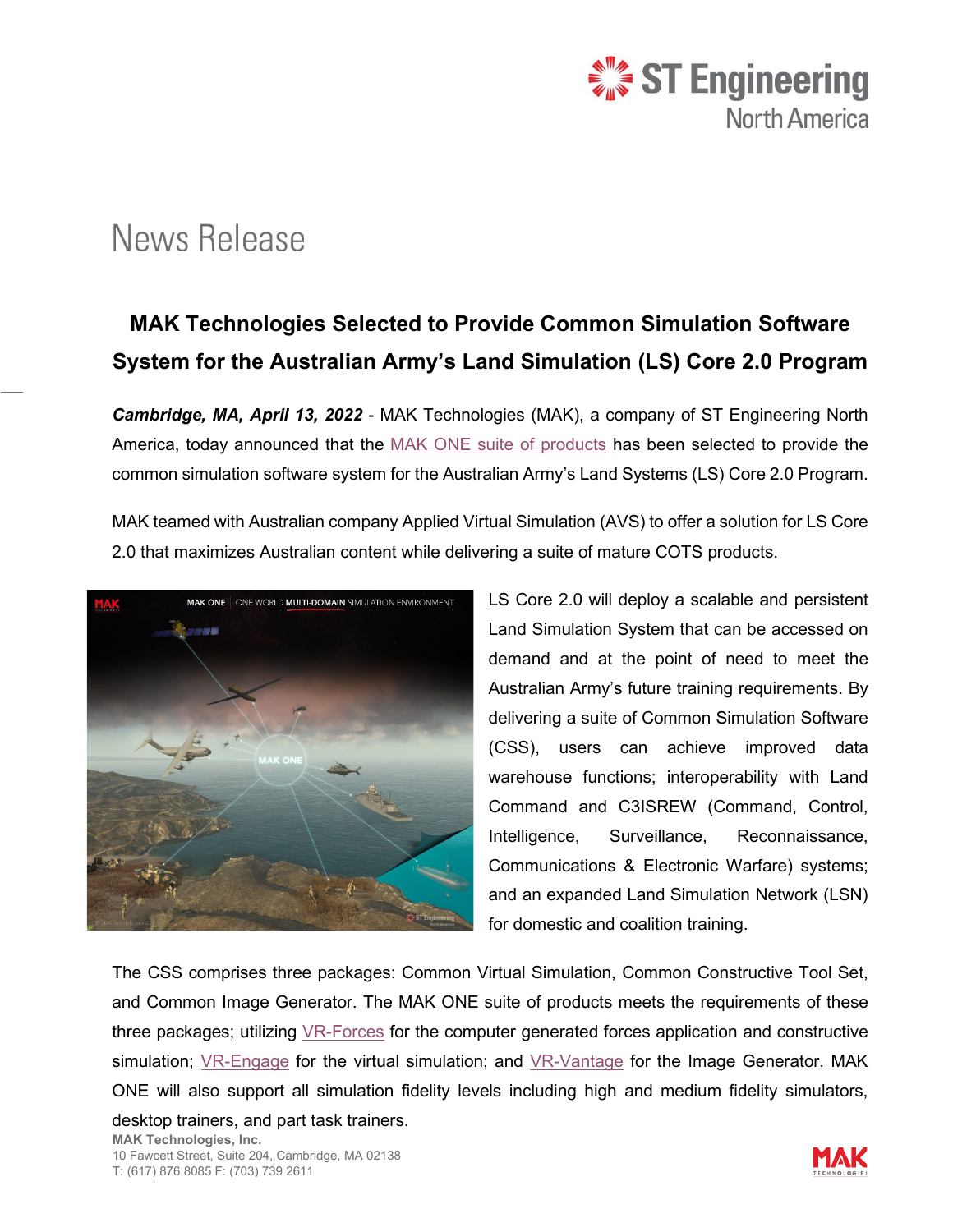

## News Release

## **MAK Technologies Selected to Provide Common Simulation Software System for the Australian Army's Land Simulation (LS) Core 2.0 Program**

*Cambridge, MA, April 13, 2022* - MAK Technologies (MAK), a company of ST Engineering North America, today announced that the [MAK ONE suite of products](https://www.mak.com/products/) has been selected to provide the common simulation software system for the Australian Army's Land Systems (LS) Core 2.0 Program.

MAK teamed with Australian company Applied Virtual Simulation (AVS) to offer a solution for LS Core 2.0 that maximizes Australian content while delivering a suite of mature COTS products.



LS Core 2.0 will deploy a scalable and persistent Land Simulation System that can be accessed on demand and at the point of need to meet the Australian Army's future training requirements. By delivering a suite of Common Simulation Software (CSS), users can achieve improved data warehouse functions; interoperability with Land Command and C3ISREW (Command, Control, Intelligence, Surveillance, Reconnaissance, Communications & Electronic Warfare) systems; and an expanded Land Simulation Network (LSN) for domestic and coalition training.

The CSS comprises three packages: Common Virtual Simulation, Common Constructive Tool Set, and Common Image Generator. The MAK ONE suite of products meets the requirements of these three packages; utilizing [VR-Forces](https://www.mak.com/products/simulate/vr-forces) for the computer generated forces application and constructive simulation; [VR-Engage](https://www.mak.com/products/simulate/vr-engage) for the virtual simulation; and [VR-Vantage](https://www.mak.com/products/visualize/vr-vantage) for the Image Generator. MAK ONE will also support all simulation fidelity levels including high and medium fidelity simulators, desktop trainers, and part task trainers.

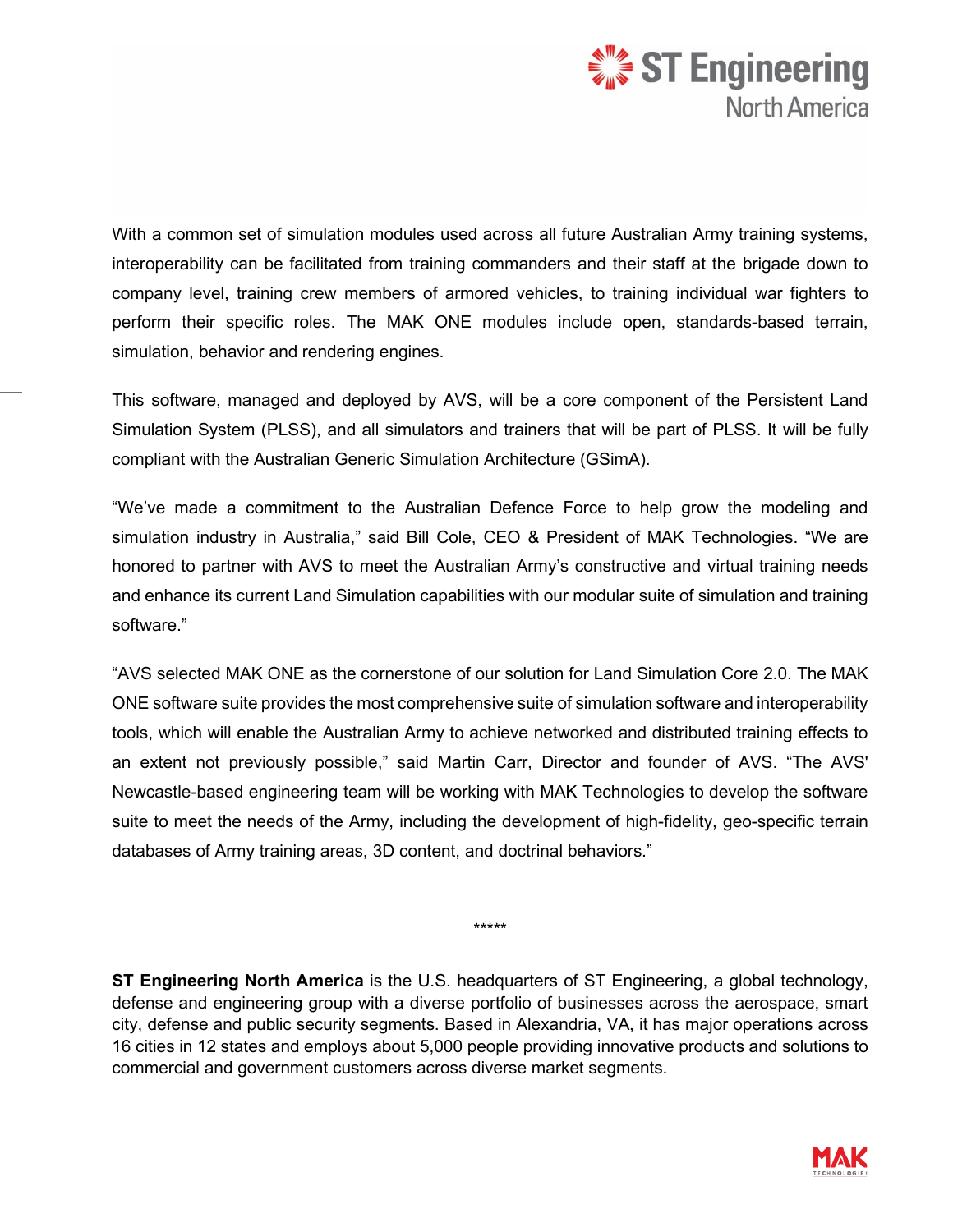

With a common set of simulation modules used across all future Australian Army training systems, interoperability can be facilitated from training commanders and their staff at the brigade down to company level, training crew members of armored vehicles, to training individual war fighters to perform their specific roles. The MAK ONE modules include open, standards-based terrain, simulation, behavior and rendering engines.

This software, managed and deployed by AVS, will be a core component of the Persistent Land Simulation System (PLSS), and all simulators and trainers that will be part of PLSS. It will be fully compliant with the Australian Generic Simulation Architecture (GSimA).

"We've made a commitment to the Australian Defence Force to help grow the modeling and simulation industry in Australia," said Bill Cole, CEO & President of MAK Technologies. "We are honored to partner with AVS to meet the Australian Army's constructive and virtual training needs and enhance its current Land Simulation capabilities with our modular suite of simulation and training software."

"AVS selected MAK ONE as the cornerstone of our solution for Land Simulation Core 2.0. The MAK ONE software suite provides the most comprehensive suite of simulation software and interoperability tools, which will enable the Australian Army to achieve networked and distributed training effects to an extent not previously possible," said Martin Carr, Director and founder of AVS. "The AVS' Newcastle-based engineering team will be working with MAK Technologies to develop the software suite to meet the needs of the Army, including the development of high-fidelity, geo-specific terrain databases of Army training areas, 3D content, and doctrinal behaviors."

\*\*\*\*\*

**ST Engineering North America** is the U.S. headquarters of ST Engineering, a global technology, defense and engineering group with a diverse portfolio of businesses across the aerospace, smart city, defense and public security segments. Based in Alexandria, VA, it has major operations across 16 cities in 12 states and employs about 5,000 people providing innovative products and solutions to commercial and government customers across diverse market segments.